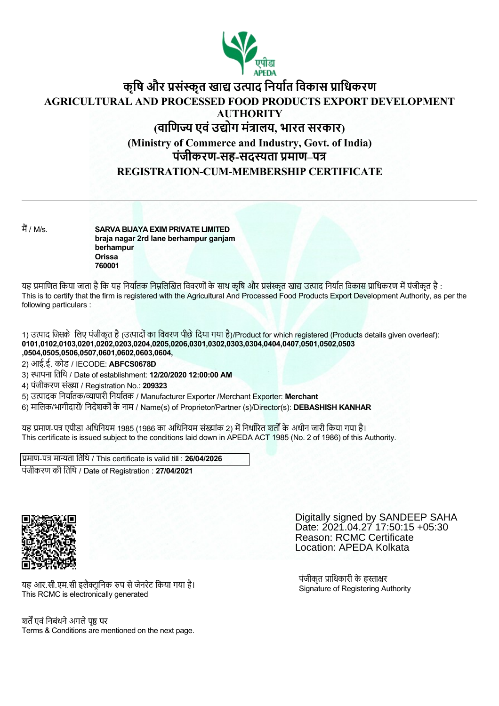

# **कृिष और सं ृत खा उ ाद िनया त िवकास ािधकरण AGRICULTURAL AND PROCESSED FOOD PRODUCTS EXPORT DEVELOPMENT AUTHORITY (वािण एवंउ ोग मं ालय, भारत सरकार) (Ministry of Commerce and Industry, Govt. of India) पंजीकरण-सह-सद ता माण–प REGISTRATION-CUM-MEMBERSHIP CERTIFICATE**

म / M/s. **SARVA BIJAYA EXIM PRIVATE LIMITED braja nagar 2rd lane berhampur ganjam berhampur Orissa 760001**

यह प्रमाणित किया जाता है कि यह निर्यातक निम्नलिखित विवरणों के साथ कृषि और प्रसंस्कृत खाद्य उत्पाद निर्यात विकास प्राधिकरण में पंजीकृत है : This is to certify that the firm is registered with the Agricultural And Processed Food Products Export Development Authority, as per the following particulars :

1) उत्पाद जिसके लिए पंजीकृत है (उत्पादों का विवरण पीछे दिया गया है)/Product for which registered (Products details given overleaf): **0101,0102,0103,0201,0202,0203,0204,0205,0206,0301,0302,0303,0304,0404,0407,0501,0502,0503 ,0504,0505,0506,0507,0601,0602,0603,0604,**

2) आई.ई. कोड / IECODE: **ABFCS0678D**

3) थापना ितिथ / Date of establishment: **12/20/2020 12:00:00 AM**

4) पंजीकरण संख्या / Registration No.: 209323

5) उ ादक िनया तक/ ापारी िनया तक / Manufacturer Exporter /Merchant Exporter: **Merchant**

6) मािलक/भागीदारों/ िनदेशकोंके नाम / Name(s) of Proprietor/Partner (s)/Director(s): **DEBASHISH KANHAR**

यह प्रमाण-पत्र एपीडा अधिनियम 1985 (1986 का अधिनियम संख्यांक 2) में निर्धारित शर्तों के अधीन जारी किया गया है। This certificate is issued subject to the conditions laid down in APEDA ACT 1985 (No. 2 of 1986) of this Authority.

प्रमाण-पत्र मान्यता तिथि / This certificate is valid till : **26/04/2026** पंजीकरण की ितिथ / Date of Registration : **27/04/2021**



Date: 2021.04.27 17:50:15 +05:30 Reason: RCMC Certificate Location: APEDA Kolkata

Digitally signed by SANDEEP SAHA

यह आर.सी.एम.सी इलैक्टानिक रुप से जेनरेट किया गया है। This RCMC is electronically generated

श्चर्तें एवं निबंधने अगले पष्ठ पर Terms & Conditions are mentioned on the next page. पंजीकृत प्राधिकारी के हस्ताक्षर Signature of Registering Authority